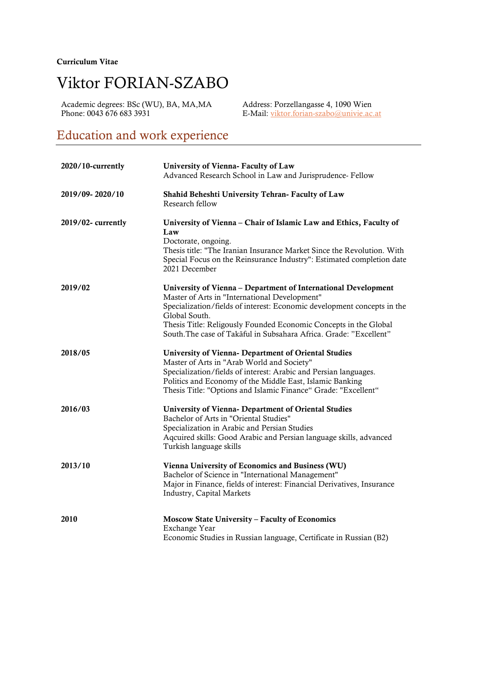#### Curriculum Vitae

# Viktor FORIAN-SZABO

Academic degrees: BSc (WU), BA, MA, MA Address: Porzellangasse 4, 1090 Wien<br>Phone: 0043 676 683 3931 E-Mail: viktor.forian-szabo@univie.ac

E-Mail: viktor.forian-szabo@univie.ac.at

### Education and work experience

| 2020/10-currently | University of Vienna- Faculty of Law<br>Advanced Research School in Law and Jurisprudence- Fellow                                                                                                                                                                                                                                                     |
|-------------------|-------------------------------------------------------------------------------------------------------------------------------------------------------------------------------------------------------------------------------------------------------------------------------------------------------------------------------------------------------|
| 2019/09-2020/10   | Shahid Beheshti University Tehran- Faculty of Law<br>Research fellow                                                                                                                                                                                                                                                                                  |
| 2019/02-currently | University of Vienna - Chair of Islamic Law and Ethics, Faculty of<br>Law<br>Doctorate, ongoing.<br>Thesis title: "The Iranian Insurance Market Since the Revolution. With<br>Special Focus on the Reinsurance Industry": Estimated completion date<br>2021 December                                                                                  |
| 2019/02           | University of Vienna - Department of International Development<br>Master of Arts in "International Development"<br>Specialization/fields of interest: Economic development concepts in the<br>Global South.<br>Thesis Title: Religously Founded Economic Concepts in the Global<br>South. The case of Takāful in Subsahara Africa. Grade: "Excellent" |
| 2018/05           | University of Vienna- Department of Oriental Studies<br>Master of Arts in "Arab World and Society"<br>Specialization/fields of interest: Arabic and Persian languages.<br>Politics and Economy of the Middle East, Islamic Banking<br>Thesis Title: "Options and Islamic Finance" Grade: "Excellent"                                                  |
| 2016/03           | <b>University of Vienna- Department of Oriental Studies</b><br>Bachelor of Arts in "Oriental Studies"<br>Specialization in Arabic and Persian Studies<br>Aqcuired skills: Good Arabic and Persian language skills, advanced<br>Turkish language skills                                                                                                |
| 2013/10           | Vienna University of Economics and Business (WU)<br>Bachelor of Science in "International Management"<br>Major in Finance, fields of interest: Financial Derivatives, Insurance<br><b>Industry, Capital Markets</b>                                                                                                                                   |
| 2010              | Moscow State University - Faculty of Economics<br>Exchange Year<br>Economic Studies in Russian language, Certificate in Russian (B2)                                                                                                                                                                                                                  |